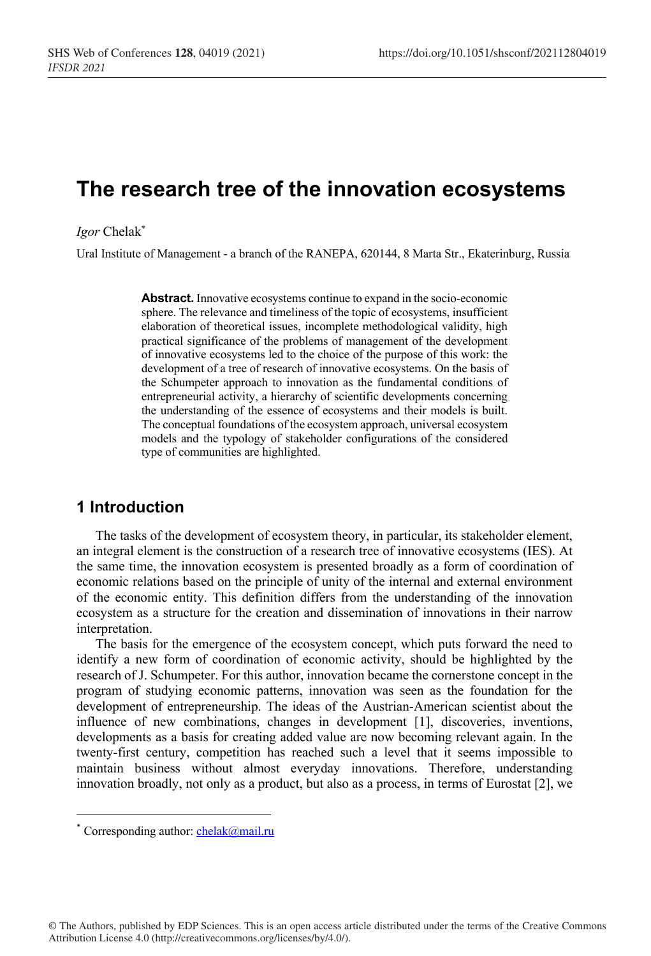# **The research tree of the innovation ecosystems**

*Igor* Chelak\*

Ural Institute of Management - a branch of the RANEPA, 620144, 8 Marta Str., Ekaterinburg, Russia

**Abstract.** Innovative ecosystems continue to expand in the socio-economic sphere. The relevance and timeliness of the topic of ecosystems, insufficient elaboration of theoretical issues, incomplete methodological validity, high practical significance of the problems of management of the development of innovative ecosystems led to the choice of the purpose of this work: the development of a tree of research of innovative ecosystems. On the basis of the Schumpeter approach to innovation as the fundamental conditions of entrepreneurial activity, a hierarchy of scientific developments concerning the understanding of the essence of ecosystems and their models is built. The conceptual foundations of the ecosystem approach, universal ecosystem models and the typology of stakeholder configurations of the considered type of communities are highlighted.

### **1 Introduction**

The tasks of the development of ecosystem theory, in particular, its stakeholder element, an integral element is the construction of a research tree of innovative ecosystems (IES). At the same time, the innovation ecosystem is presented broadly as a form of coordination of economic relations based on the principle of unity of the internal and external environment of the economic entity. This definition differs from the understanding of the innovation ecosystem as a structure for the creation and dissemination of innovations in their narrow interpretation.

The basis for the emergence of the ecosystem concept, which puts forward the need to identify a new form of coordination of economic activity, should be highlighted by the research of J. Schumpeter. For this author, innovation became the cornerstone concept in the program of studying economic patterns, innovation was seen as the foundation for the development of entrepreneurship. The ideas of the Austrian-American scientist about the influence of new combinations, changes in development [1], discoveries, inventions, developments as a basis for creating added value are now becoming relevant again. In the twenty-first century, competition has reached such a level that it seems impossible to maintain business without almost everyday innovations. Therefore, understanding innovation broadly, not only as a product, but also as a process, in terms of Eurostat [2], we

<sup>\*</sup> Corresponding author:  $chelak@mail.ru$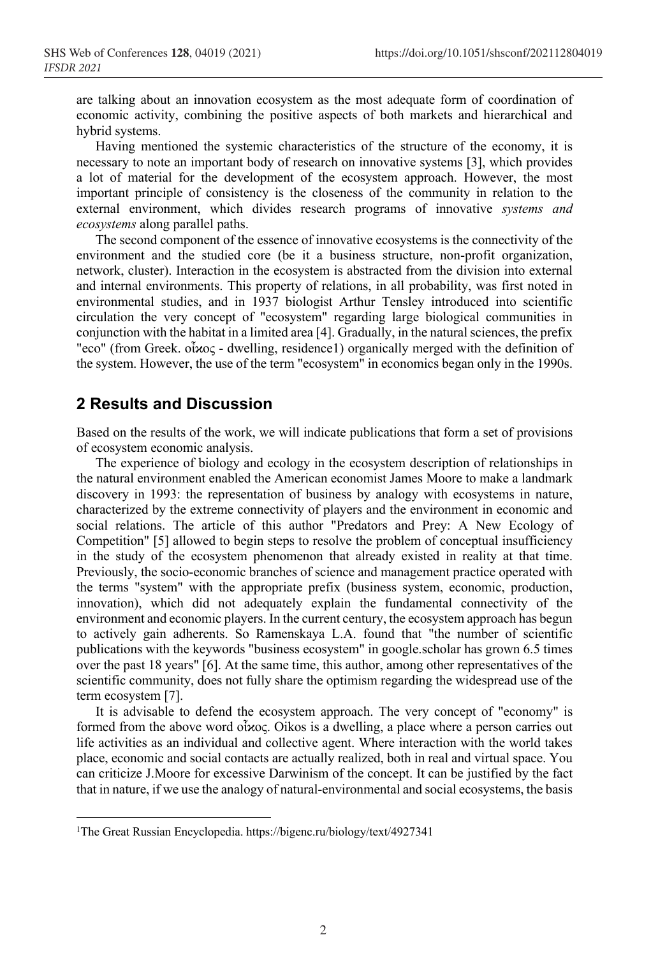are talking about an innovation ecosystem as the most adequate form of coordination of economic activity, combining the positive aspects of both markets and hierarchical and hybrid systems.

Having mentioned the systemic characteristics of the structure of the economy, it is necessary to note an important body of research on innovative systems [3], which provides a lot of material for the development of the ecosystem approach. However, the most important principle of consistency is the closeness of the community in relation to the external environment, which divides research programs of innovative *systems and ecosystems* along parallel paths.

The second component of the essence of innovative ecosystems is the connectivity of the environment and the studied core (be it a business structure, non-profit organization, network, cluster). Interaction in the ecosystem is abstracted from the division into external and internal environments. This property of relations, in all probability, was first noted in environmental studies, and in 1937 biologist Arthur Tensley introduced into scientific circulation the very concept of "ecosystem" regarding large biological communities in conjunction with the habitat in a limited area [4]. Gradually, in the natural sciences, the prefix "eco" (from Greek. οἶϰος - dwelling, residence1) organically merged with the definition of the system. However, the use of the term "ecosystem" in economics began only in the 1990s.

### **2 Results and Discussion**

Based on the results of the work, we will indicate publications that form a set of provisions of ecosystem economic analysis.

The experience of biology and ecology in the ecosystem description of relationships in the natural environment enabled the American economist James Moore to make a landmark discovery in 1993: the representation of business by analogy with ecosystems in nature, characterized by the extreme connectivity of players and the environment in economic and social relations. The article of this author "Predators and Prey: A New Ecology of Competition" [5] allowed to begin steps to resolve the problem of conceptual insufficiency in the study of the ecosystem phenomenon that already existed in reality at that time. Previously, the socio-economic branches of science and management practice operated with the terms "system" with the appropriate prefix (business system, economic, production, innovation), which did not adequately explain the fundamental connectivity of the environment and economic players. In the current century, the ecosystem approach has begun to actively gain adherents. So Ramenskaya L.A. found that "the number of scientific publications with the keywords "business ecosystem" in google.scholar has grown 6.5 times over the past 18 years" [6]. At the same time, this author, among other representatives of the scientific community, does not fully share the optimism regarding the widespread use of the term ecosystem [7].

It is advisable to defend the ecosystem approach. The very concept of "economy" is formed from the above word οἶϰος. Oikos is a dwelling, a place where a person carries out life activities as an individual and collective agent. Where interaction with the world takes place, economic and social contacts are actually realized, both in real and virtual space. You can criticize J.Moore for excessive Darwinism of the concept. It can be justified by the fact that in nature, if we use the analogy of natural-environmental and social ecosystems, the basis

<sup>1</sup>The Great Russian Encyclopedia. https://bigenc.ru/biology/text/4927341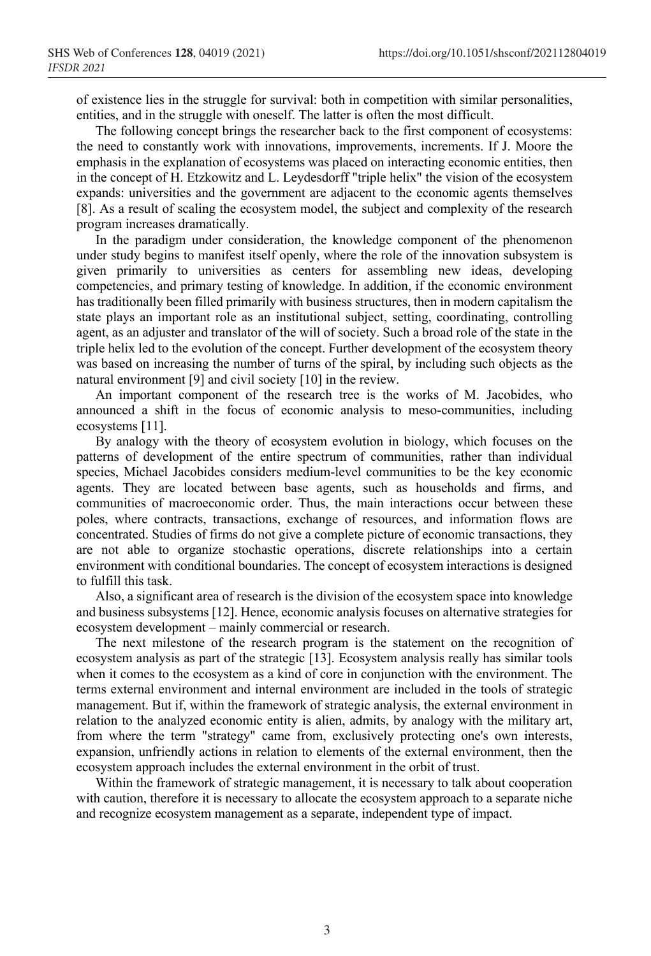of existence lies in the struggle for survival: both in competition with similar personalities, entities, and in the struggle with oneself. The latter is often the most difficult.

The following concept brings the researcher back to the first component of ecosystems: the need to constantly work with innovations, improvements, increments. If J. Moore the emphasis in the explanation of ecosystems was placed on interacting economic entities, then in the concept of H. Etzkowitz and L. Leydesdorff "triple helix" the vision of the ecosystem expands: universities and the government are adjacent to the economic agents themselves [8]. As a result of scaling the ecosystem model, the subject and complexity of the research program increases dramatically.

In the paradigm under consideration, the knowledge component of the phenomenon under study begins to manifest itself openly, where the role of the innovation subsystem is given primarily to universities as centers for assembling new ideas, developing competencies, and primary testing of knowledge. In addition, if the economic environment has traditionally been filled primarily with business structures, then in modern capitalism the state plays an important role as an institutional subject, setting, coordinating, controlling agent, as an adjuster and translator of the will of society. Such a broad role of the state in the triple helix led to the evolution of the concept. Further development of the ecosystem theory was based on increasing the number of turns of the spiral, by including such objects as the natural environment [9] and civil society [10] in the review.

An important component of the research tree is the works of M. Jacobides, who announced a shift in the focus of economic analysis to meso-communities, including ecosystems [11].

By analogy with the theory of ecosystem evolution in biology, which focuses on the patterns of development of the entire spectrum of communities, rather than individual species, Michael Jacobides considers medium-level communities to be the key economic agents. They are located between base agents, such as households and firms, and communities of macroeconomic order. Thus, the main interactions occur between these poles, where contracts, transactions, exchange of resources, and information flows are concentrated. Studies of firms do not give a complete picture of economic transactions, they are not able to organize stochastic operations, discrete relationships into a certain environment with conditional boundaries. The concept of ecosystem interactions is designed to fulfill this task.

Also, a significant area of research is the division of the ecosystem space into knowledge and business subsystems [12]. Hence, economic analysis focuses on alternative strategies for ecosystem development – mainly commercial or research.

The next milestone of the research program is the statement on the recognition of ecosystem analysis as part of the strategic [13]. Ecosystem analysis really has similar tools when it comes to the ecosystem as a kind of core in conjunction with the environment. The terms external environment and internal environment are included in the tools of strategic management. But if, within the framework of strategic analysis, the external environment in relation to the analyzed economic entity is alien, admits, by analogy with the military art, from where the term "strategy" came from, exclusively protecting one's own interests, expansion, unfriendly actions in relation to elements of the external environment, then the ecosystem approach includes the external environment in the orbit of trust.

Within the framework of strategic management, it is necessary to talk about cooperation with caution, therefore it is necessary to allocate the ecosystem approach to a separate niche and recognize ecosystem management as a separate, independent type of impact.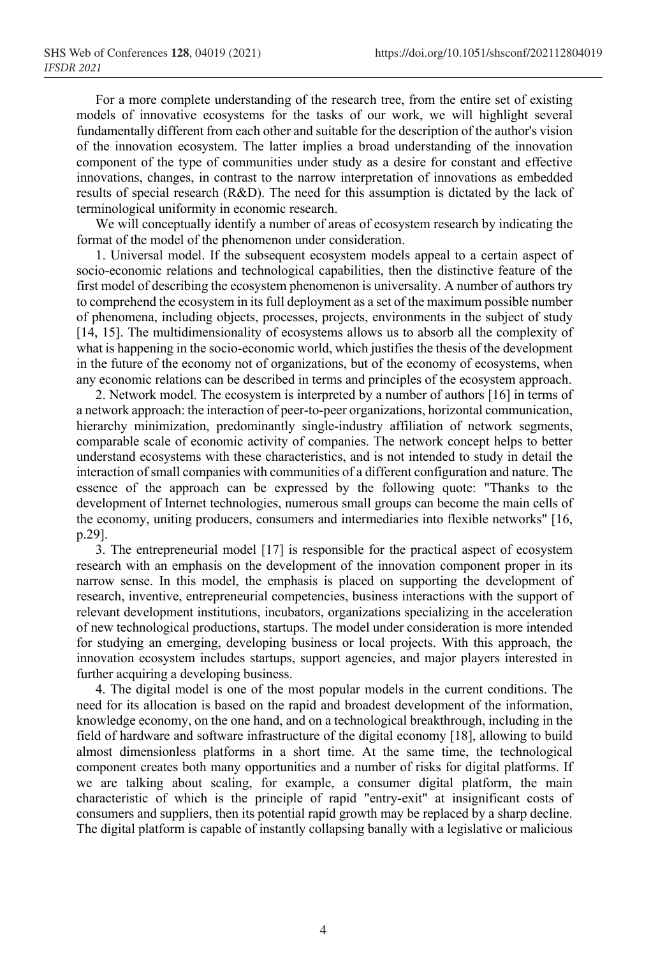For a more complete understanding of the research tree, from the entire set of existing models of innovative ecosystems for the tasks of our work, we will highlight several fundamentally different from each other and suitable for the description of the author's vision of the innovation ecosystem. The latter implies a broad understanding of the innovation component of the type of communities under study as a desire for constant and effective innovations, changes, in contrast to the narrow interpretation of innovations as embedded results of special research (R&D). The need for this assumption is dictated by the lack of terminological uniformity in economic research.

We will conceptually identify a number of areas of ecosystem research by indicating the format of the model of the phenomenon under consideration.

1. Universal model. If the subsequent ecosystem models appeal to a certain aspect of socio-economic relations and technological capabilities, then the distinctive feature of the first model of describing the ecosystem phenomenon is universality. A number of authors try to comprehend the ecosystem in its full deployment as a set of the maximum possible number of phenomena, including objects, processes, projects, environments in the subject of study [14, 15]. The multidimensionality of ecosystems allows us to absorb all the complexity of what is happening in the socio-economic world, which justifies the thesis of the development in the future of the economy not of organizations, but of the economy of ecosystems, when any economic relations can be described in terms and principles of the ecosystem approach.

2. Network model. The ecosystem is interpreted by a number of authors [16] in terms of a network approach: the interaction of peer-to-peer organizations, horizontal communication, hierarchy minimization, predominantly single-industry affiliation of network segments, comparable scale of economic activity of companies. The network concept helps to better understand ecosystems with these characteristics, and is not intended to study in detail the interaction of small companies with communities of a different configuration and nature. The essence of the approach can be expressed by the following quote: "Thanks to the development of Internet technologies, numerous small groups can become the main cells of the economy, uniting producers, consumers and intermediaries into flexible networks" [16, p.29].

3. The entrepreneurial model [17] is responsible for the practical aspect of ecosystem research with an emphasis on the development of the innovation component proper in its narrow sense. In this model, the emphasis is placed on supporting the development of research, inventive, entrepreneurial competencies, business interactions with the support of relevant development institutions, incubators, organizations specializing in the acceleration of new technological productions, startups. The model under consideration is more intended for studying an emerging, developing business or local projects. With this approach, the innovation ecosystem includes startups, support agencies, and major players interested in further acquiring a developing business.

4. The digital model is one of the most popular models in the current conditions. The need for its allocation is based on the rapid and broadest development of the information, knowledge economy, on the one hand, and on a technological breakthrough, including in the field of hardware and software infrastructure of the digital economy [18], allowing to build almost dimensionless platforms in a short time. At the same time, the technological component creates both many opportunities and a number of risks for digital platforms. If we are talking about scaling, for example, a consumer digital platform, the main characteristic of which is the principle of rapid "entry-exit" at insignificant costs of consumers and suppliers, then its potential rapid growth may be replaced by a sharp decline. The digital platform is capable of instantly collapsing banally with a legislative or malicious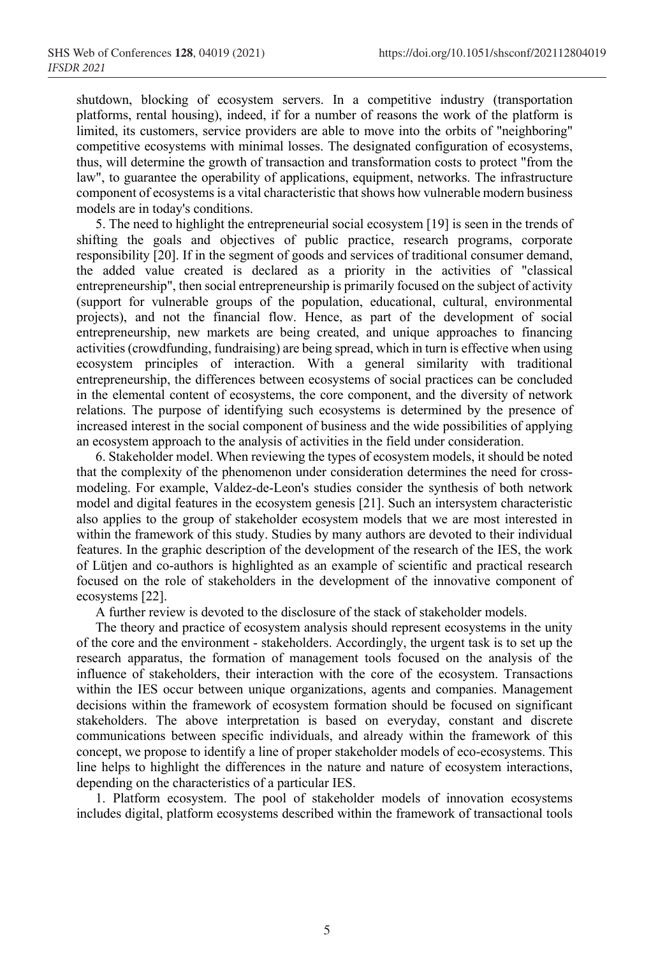shutdown, blocking of ecosystem servers. In a competitive industry (transportation platforms, rental housing), indeed, if for a number of reasons the work of the platform is limited, its customers, service providers are able to move into the orbits of "neighboring" competitive ecosystems with minimal losses. The designated configuration of ecosystems, thus, will determine the growth of transaction and transformation costs to protect "from the law", to guarantee the operability of applications, equipment, networks. The infrastructure component of ecosystems is a vital characteristic that shows how vulnerable modern business models are in today's conditions.

5. The need to highlight the entrepreneurial social ecosystem [19] is seen in the trends of shifting the goals and objectives of public practice, research programs, corporate responsibility [20]. If in the segment of goods and services of traditional consumer demand, the added value created is declared as a priority in the activities of "classical entrepreneurship", then social entrepreneurship is primarily focused on the subject of activity (support for vulnerable groups of the population, educational, cultural, environmental projects), and not the financial flow. Hence, as part of the development of social entrepreneurship, new markets are being created, and unique approaches to financing activities (crowdfunding, fundraising) are being spread, which in turn is effective when using ecosystem principles of interaction. With a general similarity with traditional entrepreneurship, the differences between ecosystems of social practices can be concluded in the elemental content of ecosystems, the core component, and the diversity of network relations. The purpose of identifying such ecosystems is determined by the presence of increased interest in the social component of business and the wide possibilities of applying an ecosystem approach to the analysis of activities in the field under consideration.

6. Stakeholder model. When reviewing the types of ecosystem models, it should be noted that the complexity of the phenomenon under consideration determines the need for crossmodeling. For example, Valdez-de-Leon's studies consider the synthesis of both network model and digital features in the ecosystem genesis [21]. Such an intersystem characteristic also applies to the group of stakeholder ecosystem models that we are most interested in within the framework of this study. Studies by many authors are devoted to their individual features. In the graphic description of the development of the research of the IES, the work of Lütjen and co-authors is highlighted as an example of scientific and practical research focused on the role of stakeholders in the development of the innovative component of ecosystems [22].

A further review is devoted to the disclosure of the stack of stakeholder models.

The theory and practice of ecosystem analysis should represent ecosystems in the unity of the core and the environment - stakeholders. Accordingly, the urgent task is to set up the research apparatus, the formation of management tools focused on the analysis of the influence of stakeholders, their interaction with the core of the ecosystem. Transactions within the IES occur between unique organizations, agents and companies. Management decisions within the framework of ecosystem formation should be focused on significant stakeholders. The above interpretation is based on everyday, constant and discrete communications between specific individuals, and already within the framework of this concept, we propose to identify a line of proper stakeholder models of eco-ecosystems. This line helps to highlight the differences in the nature and nature of ecosystem interactions, depending on the characteristics of a particular IES.

1. Platform ecosystem. The pool of stakeholder models of innovation ecosystems includes digital, platform ecosystems described within the framework of transactional tools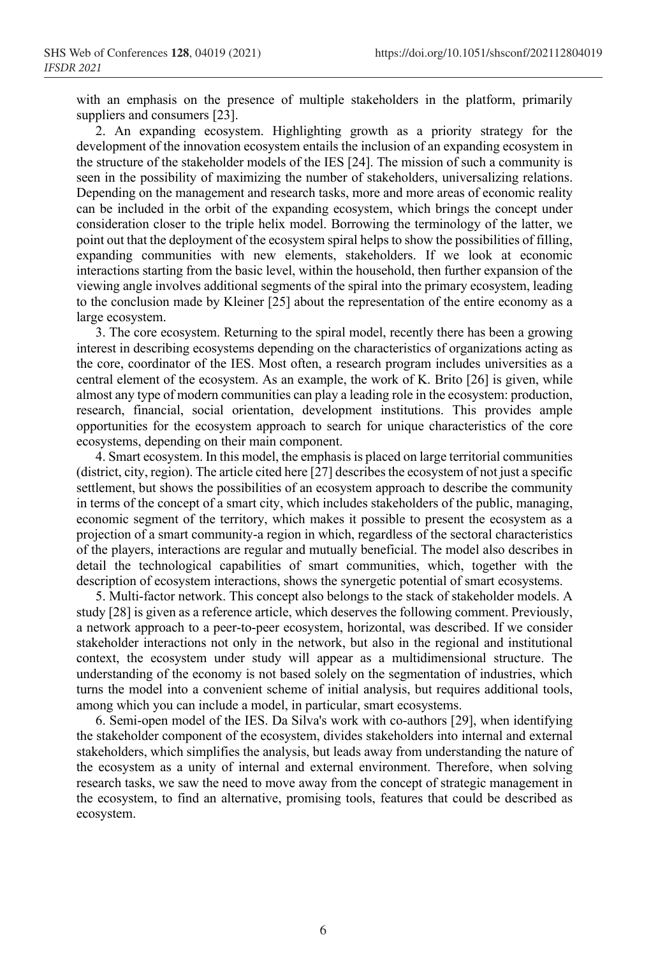with an emphasis on the presence of multiple stakeholders in the platform, primarily suppliers and consumers [23].

2. An expanding ecosystem. Highlighting growth as a priority strategy for the development of the innovation ecosystem entails the inclusion of an expanding ecosystem in the structure of the stakeholder models of the IES [24]. The mission of such a community is seen in the possibility of maximizing the number of stakeholders, universalizing relations. Depending on the management and research tasks, more and more areas of economic reality can be included in the orbit of the expanding ecosystem, which brings the concept under consideration closer to the triple helix model. Borrowing the terminology of the latter, we point out that the deployment of the ecosystem spiral helps to show the possibilities of filling, expanding communities with new elements, stakeholders. If we look at economic interactions starting from the basic level, within the household, then further expansion of the viewing angle involves additional segments of the spiral into the primary ecosystem, leading to the conclusion made by Kleiner [25] about the representation of the entire economy as a large ecosystem.

3. The core ecosystem. Returning to the spiral model, recently there has been a growing interest in describing ecosystems depending on the characteristics of organizations acting as the core, coordinator of the IES. Most often, a research program includes universities as a central element of the ecosystem. As an example, the work of K. Brito [26] is given, while almost any type of modern communities can play a leading role in the ecosystem: production, research, financial, social orientation, development institutions. This provides ample opportunities for the ecosystem approach to search for unique characteristics of the core ecosystems, depending on their main component.

4. Smart ecosystem. In this model, the emphasis is placed on large territorial communities (district, city, region). The article cited here  $\left[27\right]$  describes the ecosystem of not just a specific settlement, but shows the possibilities of an ecosystem approach to describe the community in terms of the concept of a smart city, which includes stakeholders of the public, managing, economic segment of the territory, which makes it possible to present the ecosystem as a projection of a smart community-a region in which, regardless of the sectoral characteristics of the players, interactions are regular and mutually beneficial. The model also describes in detail the technological capabilities of smart communities, which, together with the description of ecosystem interactions, shows the synergetic potential of smart ecosystems.

5. Multi-factor network. This concept also belongs to the stack of stakeholder models. A study [28] is given as a reference article, which deserves the following comment. Previously, a network approach to a peer-to-peer ecosystem, horizontal, was described. If we consider stakeholder interactions not only in the network, but also in the regional and institutional context, the ecosystem under study will appear as a multidimensional structure. The understanding of the economy is not based solely on the segmentation of industries, which turns the model into a convenient scheme of initial analysis, but requires additional tools, among which you can include a model, in particular, smart ecosystems.

6. Semi-open model of the IES. Da Silva's work with co-authors [29], when identifying the stakeholder component of the ecosystem, divides stakeholders into internal and external stakeholders, which simplifies the analysis, but leads away from understanding the nature of the ecosystem as a unity of internal and external environment. Therefore, when solving research tasks, we saw the need to move away from the concept of strategic management in the ecosystem, to find an alternative, promising tools, features that could be described as ecosystem.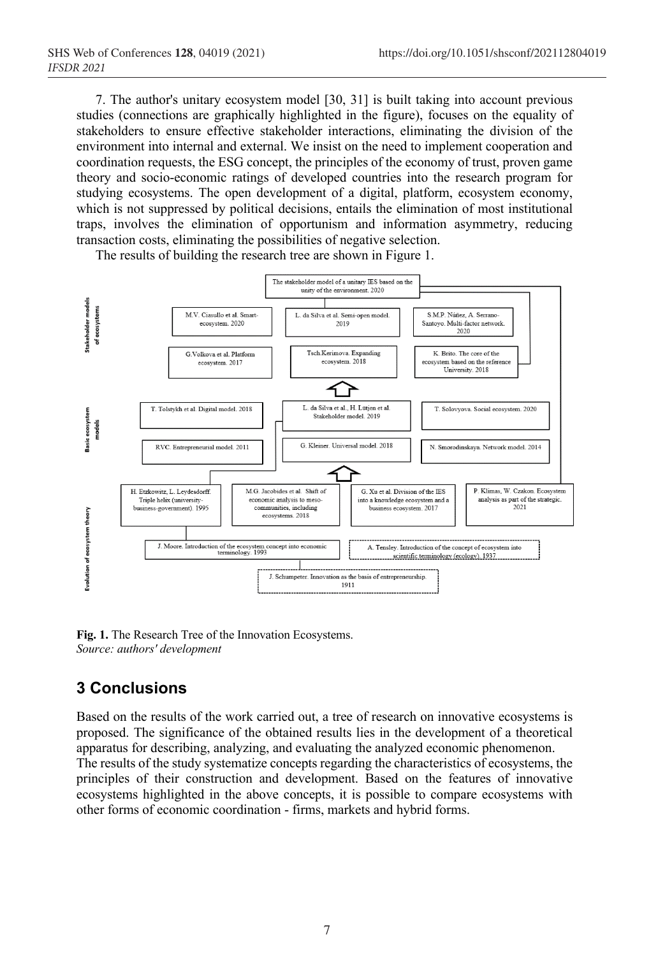7. The author's unitary ecosystem model [30, 31] is built taking into account previous studies (connections are graphically highlighted in the figure), focuses on the equality of stakeholders to ensure effective stakeholder interactions, eliminating the division of the environment into internal and external. We insist on the need to implement cooperation and coordination requests, the ESG concept, the principles of the economy of trust, proven game theory and socio-economic ratings of developed countries into the research program for studying ecosystems. The open development of a digital, platform, ecosystem economy, which is not suppressed by political decisions, entails the elimination of most institutional traps, involves the elimination of opportunism and information asymmetry, reducing transaction costs, eliminating the possibilities of negative selection.



The results of building the research tree are shown in Figure 1.

**Fig. 1.** The Research Tree of the Innovation Ecosystems. *Source: authors' development*

## **3 Conclusions**

Based on the results of the work carried out, a tree of research on innovative ecosystems is proposed. The significance of the obtained results lies in the development of a theoretical apparatus for describing, analyzing, and evaluating the analyzed economic phenomenon. The results of the study systematize concepts regarding the characteristics of ecosystems, the principles of their construction and development. Based on the features of innovative

ecosystems highlighted in the above concepts, it is possible to compare ecosystems with other forms of economic coordination - firms, markets and hybrid forms.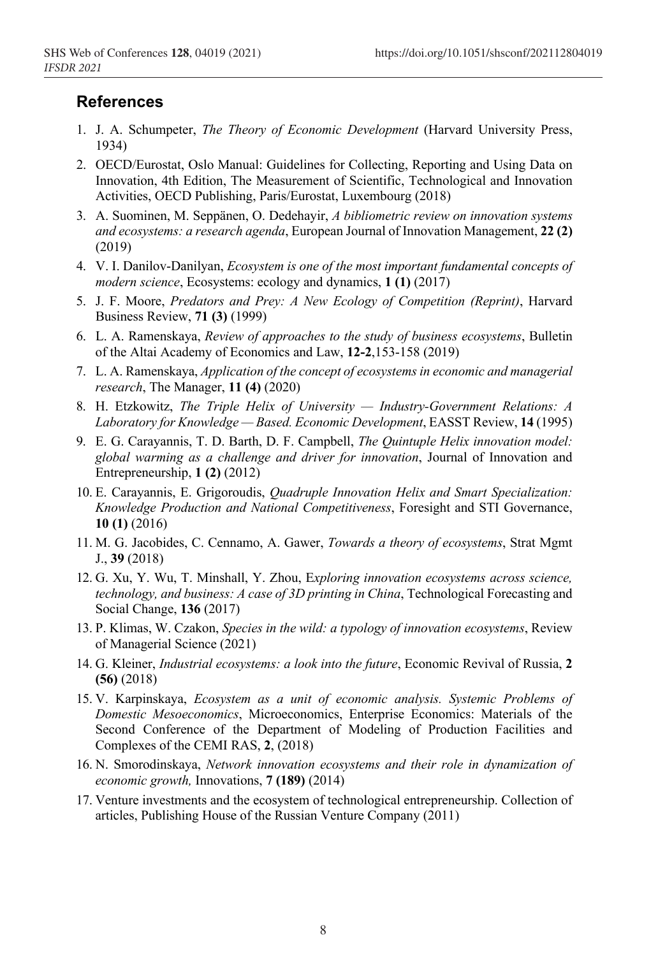#### **References**

- 1. J. A. Schumpeter, *The Theory of Economic Development* (Harvard University Press, 1934)
- 2. OECD/Eurostat, Oslo Manual: Guidelines for Collecting, Reporting and Using Data on Innovation, 4th Edition, The Measurement of Scientific, Technological and Innovation Activities, OECD Publishing, Paris/Eurostat, Luxembourg (2018)
- 3. A. Suominen, M. Seppänen, O. Dedehayir, *A bibliometric review on innovation systems and ecosystems: a research agenda*, European Journal of Innovation Management, **22 (2)** (2019)
- 4. V. I. Danilov-Danilyan, *Ecosystem is one of the most important fundamental concepts of modern science*, Ecosystems: ecology and dynamics, **1 (1)** (2017)
- 5. J. F. Moore, *Predators and Prey: A New Ecology of Competition (Reprint)*, Harvard Business Review, **71 (3)** (1999)
- 6. L. A. Ramenskaya, *Review of approaches to the study of business ecosystems*, Bulletin of the Altai Academy of Economics and Law, **12-2**,153-158 (2019)
- 7. L. A. Ramenskaya, *Application of the concept of ecosystems in economic and managerial research*, The Manager, **11 (4)** (2020)
- 8. H. Etzkowitz, *The Triple Helix of University — Industry-Government Relations: A Laboratory for Knowledge — Based. Economic Development*, EASST Review, **14** (1995)
- 9. E. G. Carayannis, T. D. Barth, D. F. Campbell, *The Quintuple Helix innovation model: global warming as a challenge and driver for innovation*, Journal of Innovation and Entrepreneurship, **1 (2)** (2012)
- 10. E. Carayannis, E. Grigoroudis, *Quadruple Innovation Helix and Smart Specialization: Knowledge Production and National Competitiveness*, Foresight and STI Governance, **10 (1)** (2016)
- 11. M. G. Jacobides, C. Cennamo, A. Gawer, *Towards a theory of ecosystems*, Strat Mgmt J., **39** (2018)
- 12. G. Xu, Y. Wu, T. Minshall, Y. Zhou, E*xploring innovation ecosystems across science, technology, and business: A case of 3D printing in China*, Technological Forecasting and Social Change, **136** (2017)
- 13. P. Klimas, W. Czakon, *Species in the wild: a typology of innovation ecosystems*, Review of Managerial Science (2021)
- 14. G. Kleiner, *Industrial ecosystems: a look into the future*, Economic Revival of Russia, **2 (56)** (2018)
- 15. V. Karpinskaya, *Ecosystem as a unit of economic analysis. Systemic Problems of Domestic Mesoeconomics*, Microeconomics, Enterprise Economics: Materials of the Second Conference of the Department of Modeling of Production Facilities and Complexes of the CEMI RAS, **2**, (2018)
- 16. N. Smorodinskaya, *Network innovation ecosystems and their role in dynamization of economic growth,* Innovations, **7 (189)** (2014)
- 17. Venture investments and the ecosystem of technological entrepreneurship. Collection of articles, Publishing House of the Russian Venture Company (2011)